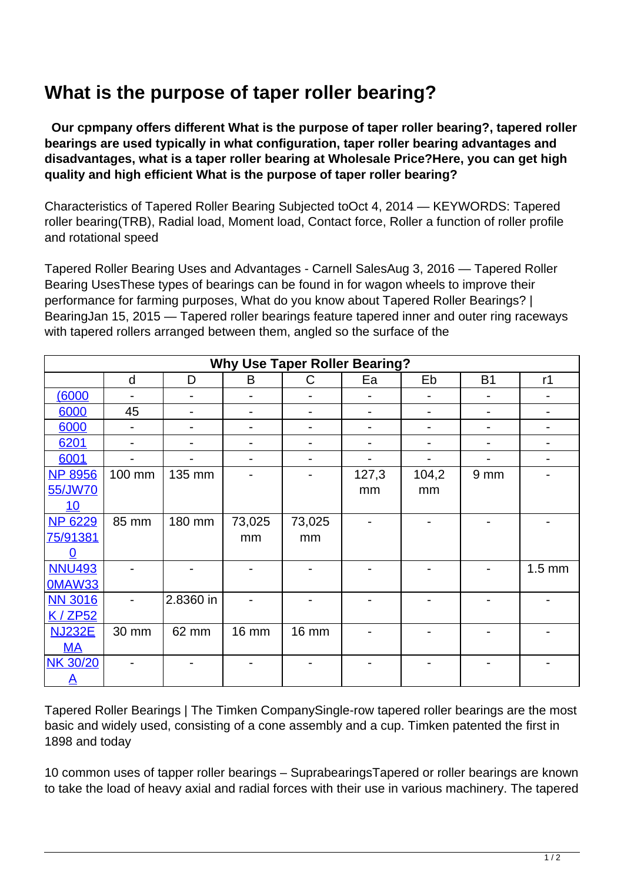## **What is the purpose of taper roller bearing?**

 **Our cpmpany offers different What is the purpose of taper roller bearing?, tapered roller bearings are used typically in what configuration, taper roller bearing advantages and disadvantages, what is a taper roller bearing at Wholesale Price?Here, you can get high quality and high efficient What is the purpose of taper roller bearing?**

Characteristics of Tapered Roller Bearing Subjected toOct 4, 2014 — KEYWORDS: Tapered roller bearing(TRB), Radial load, Moment load, Contact force, Roller a function of roller profile and rotational speed

Tapered Roller Bearing Uses and Advantages - Carnell SalesAug 3, 2016 — Tapered Roller Bearing UsesThese types of bearings can be found in for wagon wheels to improve their performance for farming purposes, What do you know about Tapered Roller Bearings? | BearingJan 15, 2015 — Tapered roller bearings feature tapered inner and outer ring raceways with tapered rollers arranged between them, angled so the surface of the

| <b>Why Use Taper Roller Bearing?</b> |                          |                              |              |              |       |       |                 |                  |  |
|--------------------------------------|--------------------------|------------------------------|--------------|--------------|-------|-------|-----------------|------------------|--|
|                                      | d                        | D                            | B            | C            | Ea    | Eb    | <b>B1</b>       | r1               |  |
| (6000)                               |                          |                              |              |              |       |       |                 |                  |  |
| 6000                                 | 45                       |                              |              |              |       |       |                 |                  |  |
| 6000                                 | $\overline{\phantom{0}}$ | $\qquad \qquad \blacksquare$ |              |              |       |       |                 |                  |  |
| 6201                                 |                          |                              |              |              |       |       |                 |                  |  |
| 6001                                 |                          |                              |              |              |       |       |                 |                  |  |
| <b>NP 8956</b>                       | 100 mm                   | 135 mm                       |              |              | 127,3 | 104,2 | 9 <sub>mm</sub> |                  |  |
| 55/JW70                              |                          |                              |              |              | mm    | mm    |                 |                  |  |
| 10                                   |                          |                              |              |              |       |       |                 |                  |  |
| <b>NP 6229</b>                       | 85 mm                    | 180 mm                       | 73,025       | 73,025       |       |       |                 |                  |  |
| 75/91381                             |                          |                              | mm           | mm           |       |       |                 |                  |  |
| O                                    |                          |                              |              |              |       |       |                 |                  |  |
| <b>NNU493</b>                        |                          |                              |              |              |       |       |                 | $1.5 \text{ mm}$ |  |
| <b>0MAW33</b>                        |                          |                              |              |              |       |       |                 |                  |  |
| <b>NN 3016</b>                       |                          | 2.8360 in                    |              |              |       |       |                 |                  |  |
| K/ZP52                               |                          |                              |              |              |       |       |                 |                  |  |
| <b>NJ232E</b>                        | 30 mm                    | 62 mm                        | <b>16 mm</b> | <b>16 mm</b> |       |       |                 |                  |  |
| <b>MA</b>                            |                          |                              |              |              |       |       |                 |                  |  |
| <b>NK 30/20</b>                      |                          |                              |              |              |       |       |                 |                  |  |
| $\mathbf{A}$                         |                          |                              |              |              |       |       |                 |                  |  |

Tapered Roller Bearings | The Timken CompanySingle-row tapered roller bearings are the most basic and widely used, consisting of a cone assembly and a cup. Timken patented the first in 1898 and today

10 common uses of tapper roller bearings – SuprabearingsTapered or roller bearings are known to take the load of heavy axial and radial forces with their use in various machinery. The tapered